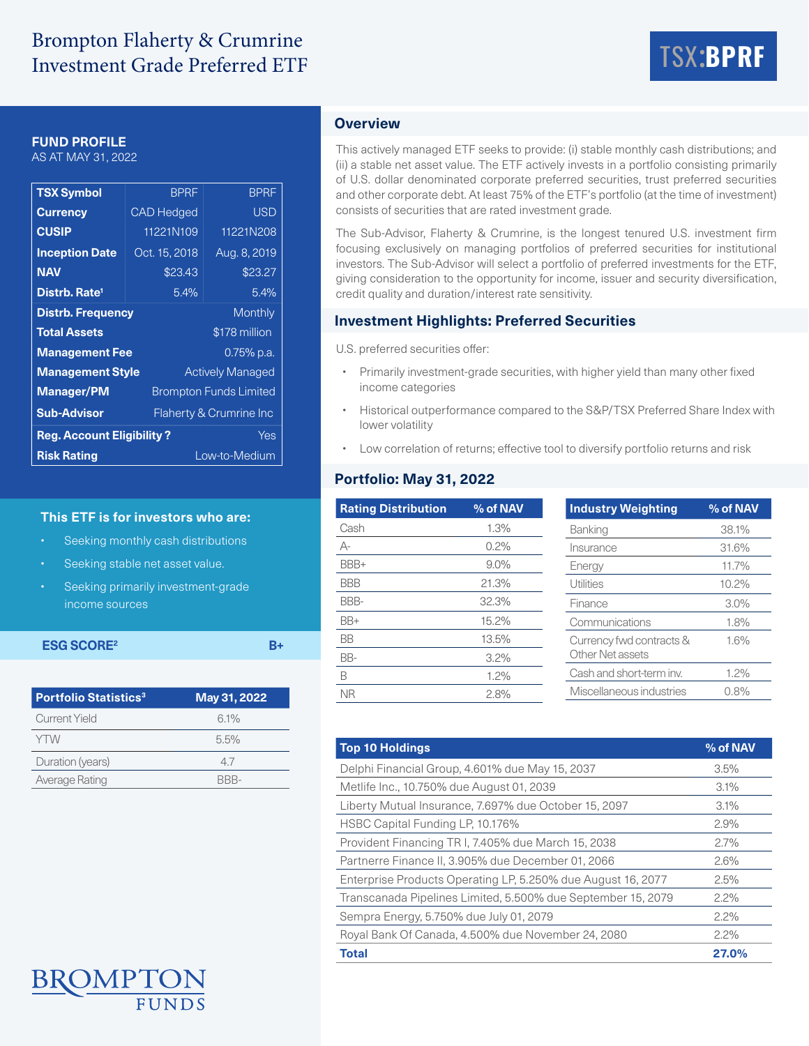# Brompton Flaherty & Crumrine Investment Grade Preferred ETF



# **FUND PROFILE**

AS AT MAY 31, 2022

| <b>TSX Symbol</b>                          | <b>BPRF</b>                   | <b>BPRF</b>             |  |  |  |
|--------------------------------------------|-------------------------------|-------------------------|--|--|--|
| <b>Currency</b>                            | <b>CAD</b> Hedged             | <b>USD</b>              |  |  |  |
| <b>CUSIP</b>                               | 11221N109                     | 11221N208               |  |  |  |
| <b>Inception Date</b>                      | Oct. 15, 2018                 | Aug. 8, 2019            |  |  |  |
| <b>NAV</b>                                 | \$23.43                       | \$23.27                 |  |  |  |
| Distrb. Rate <sup>1</sup>                  | 5.4%                          | 5.4%                    |  |  |  |
| <b>Distrb. Frequency</b><br><b>Monthly</b> |                               |                         |  |  |  |
| <b>Total Assets</b>                        |                               | \$178 million           |  |  |  |
| <b>Management Fee</b>                      |                               | $0.75\%$ p.a.           |  |  |  |
| <b>Management Style</b>                    |                               | <b>Actively Managed</b> |  |  |  |
| <b>Manager/PM</b>                          | <b>Brompton Funds Limited</b> |                         |  |  |  |
| <b>Sub-Advisor</b>                         | Flaherty & Crumrine Inc       |                         |  |  |  |
| <b>Reg. Account Eligibility?</b><br>Yes    |                               |                         |  |  |  |
| <b>Risk Rating</b><br>Low-to-Medium        |                               |                         |  |  |  |

### **This ETF is for investors who are:**

- Seeking monthly cash distributions
- Seeking stable net asset value.
- Seeking primarily investment-grade income sources

# **ESG SCORE<sup>2</sup>** B+

| <b>Portfolio Statistics<sup>3</sup></b> | May 31, 2022 |
|-----------------------------------------|--------------|
| Current Yield                           | 6.1%         |
| <b>YTW</b>                              | 5.5%         |
| Duration (years)                        | 47           |
| Average Rating                          | RRR-         |

# **Overview**

This actively managed ETF seeks to provide: (i) stable monthly cash distributions; and (ii) a stable net asset value. The ETF actively invests in a portfolio consisting primarily of U.S. dollar denominated corporate preferred securities, trust preferred securities and other corporate debt. At least 75% of the ETF's portfolio (at the time of investment) consists of securities that are rated investment grade.

The Sub-Advisor, Flaherty & Crumrine, is the longest tenured U.S. investment firm focusing exclusively on managing portfolios of preferred securities for institutional investors. The Sub-Advisor will select a portfolio of preferred investments for the ETF, giving consideration to the opportunity for income, issuer and security diversification, credit quality and duration/interest rate sensitivity.

## **Investment Highlights: Preferred Securities**

U.S. preferred securities offer:

- Primarily investment-grade securities, with higher yield than many other fixed income categories
- Historical outperformance compared to the S&P/TSX Preferred Share Index with lower volatility
- Low correlation of returns; effective tool to diversify portfolio returns and risk

# **Portfolio: May 31, 2022**

| <b>Rating Distribution</b> | % of NAV | <b>Industry Weighting</b> | % of NAV |
|----------------------------|----------|---------------------------|----------|
| Cash                       | 1.3%     | Banking                   | 38.1%    |
| А-                         | 0.2%     | Insurance                 | 31.6%    |
| BBB+                       | $9.0\%$  | Energy                    | 11.7%    |
| <b>BBB</b>                 | 21.3%    | Utilities                 | 10.2%    |
| BBB-                       | 32.3%    | Finance                   | 3.0%     |
| BB+                        | 15.2%    | Communications            | 1.8%     |
| <b>BB</b>                  | 13.5%    | Currency fwd contracts &  | 1.6%     |
| BB-                        | 3.2%     | Other Net assets          |          |
| B                          | 1.2%     | Cash and short-term inv.  | 1.2%     |
| <b>NR</b>                  | 2.8%     | Miscellaneous industries  | 0.8%     |

| <b>Top 10 Holdings</b>                                       | % of NAV |
|--------------------------------------------------------------|----------|
| Delphi Financial Group, 4.601% due May 15, 2037              | 3.5%     |
| Metlife Inc., 10.750% due August 01, 2039                    | 3.1%     |
| Liberty Mutual Insurance, 7.697% due October 15, 2097        | 3.1%     |
| HSBC Capital Funding LP, 10.176%                             | 2.9%     |
| Provident Financing TR I, 7.405% due March 15, 2038          | 2.7%     |
| Partnerre Finance II, 3.905% due December 01, 2066           | 2.6%     |
| Enterprise Products Operating LP, 5.250% due August 16, 2077 | 2.5%     |
| Transcanada Pipelines Limited, 5.500% due September 15, 2079 | 2.2%     |
| Sempra Energy, 5.750% due July 01, 2079                      | 2.2%     |
| Royal Bank Of Canada, 4.500% due November 24, 2080           | 2.2%     |
| <b>Total</b>                                                 | 27.0%    |